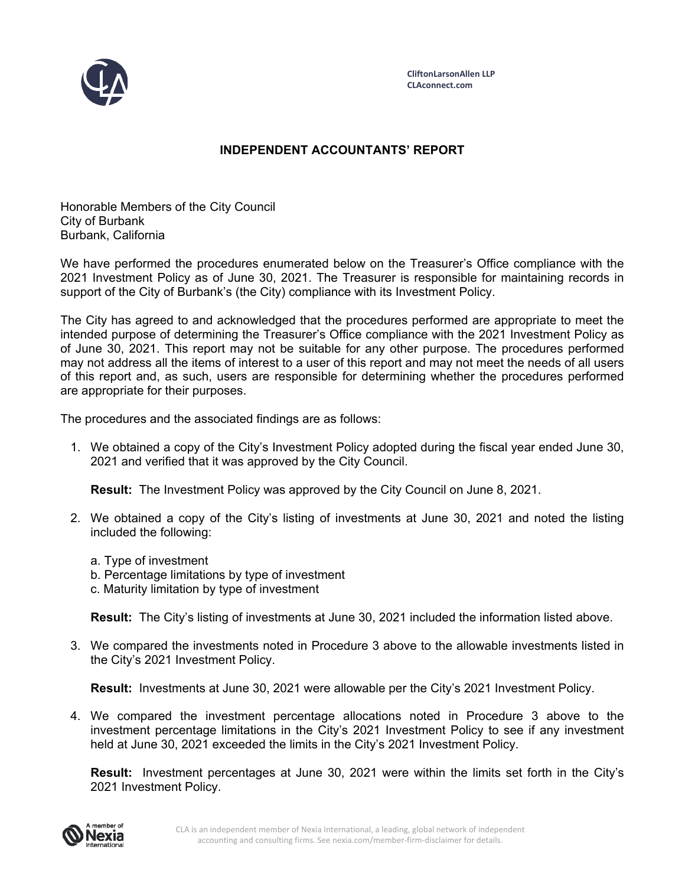

## **INDEPENDENT ACCOUNTANTS' REPORT**

Honorable Members of the City Council City of Burbank Burbank, California

We have performed the procedures enumerated below on the Treasurer's Office compliance with the 2021 Investment Policy as of June 30, 2021. The Treasurer is responsible for maintaining records in support of the City of Burbank's (the City) compliance with its Investment Policy.

The City has agreed to and acknowledged that the procedures performed are appropriate to meet the intended purpose of determining the Treasurer's Office compliance with the 2021 Investment Policy as of June 30, 2021. This report may not be suitable for any other purpose. The procedures performed may not address all the items of interest to a user of this report and may not meet the needs of all users of this report and, as such, users are responsible for determining whether the procedures performed are appropriate for their purposes.

The procedures and the associated findings are as follows:

1. We obtained a copy of the City's Investment Policy adopted during the fiscal year ended June 30, 2021 and verified that it was approved by the City Council.

**Result:** The Investment Policy was approved by the City Council on June 8, 2021.

- 2. We obtained a copy of the City's listing of investments at June 30, 2021 and noted the listing included the following:
	- a. Type of investment
	- b. Percentage limitations by type of investment
	- c. Maturity limitation by type of investment

**Result:** The City's listing of investments at June 30, 2021 included the information listed above.

3. We compared the investments noted in Procedure 3 above to the allowable investments listed in the City's 2021 Investment Policy.

**Result:** Investments at June 30, 2021 were allowable per the City's 2021 Investment Policy.

4. We compared the investment percentage allocations noted in Procedure 3 above to the investment percentage limitations in the City's 2021 Investment Policy to see if any investment held at June 30, 2021 exceeded the limits in the City's 2021 Investment Policy.

**Result:** Investment percentages at June 30, 2021 were within the limits set forth in the City's 2021 Investment Policy.